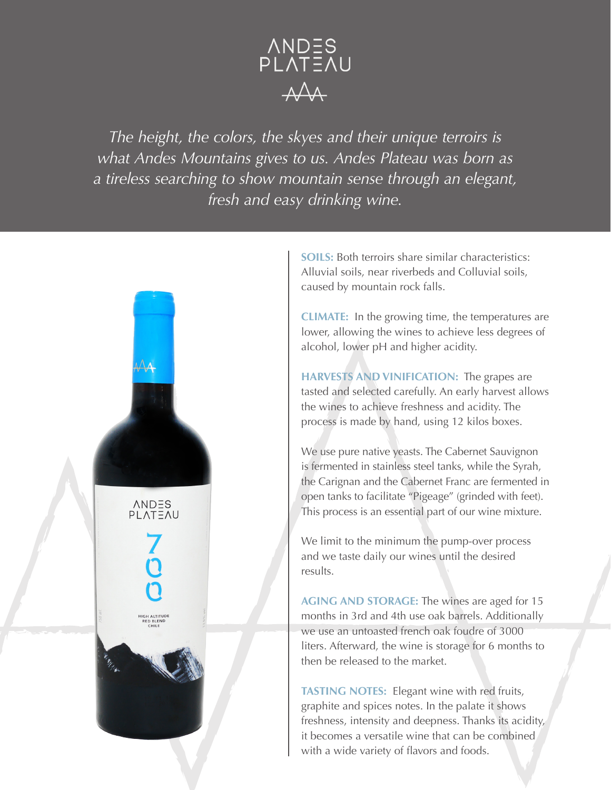

*The height, the colors, the skyes and their unique terroirs is what Andes Mountains gives to us. Andes Plateau was born as a tireless searching to show mountain sense through an elegant, fresh and easy drinking wine.*



**SOILS:** Both terroirs share similar characteristics: Alluvial soils, near riverbeds and Colluvial soils, caused by mountain rock falls.

**CLIMATE:** In the growing time, the temperatures are lower, allowing the wines to achieve less degrees of alcohol, lower pH and higher acidity.

**HARVESTS AND VINIFICATION:** The grapes are tasted and selected carefully. An early harvest allows the wines to achieve freshness and acidity. The process is made by hand, using 12 kilos boxes.

We use pure native yeasts. The Cabernet Sauvignon is fermented in stainless steel tanks, while the Syrah, the Carignan and the Cabernet Franc are fermented in open tanks to facilitate "Pigeage" (grinded with feet). This process is an essential part of our wine mixture.

We limit to the minimum the pump-over process and we taste daily our wines until the desired results.

**AGING AND STORAGE:** The wines are aged for 15 months in 3rd and 4th use oak barrels. Additionally we use an untoasted french oak foudre of 3000 liters. Afterward, the wine is storage for 6 months to then be released to the market.

**TASTING NOTES:** Elegant wine with red fruits, graphite and spices notes. In the palate it shows freshness, intensity and deepness. Thanks its acidity, it becomes a versatile wine that can be combined with a wide variety of flavors and foods.